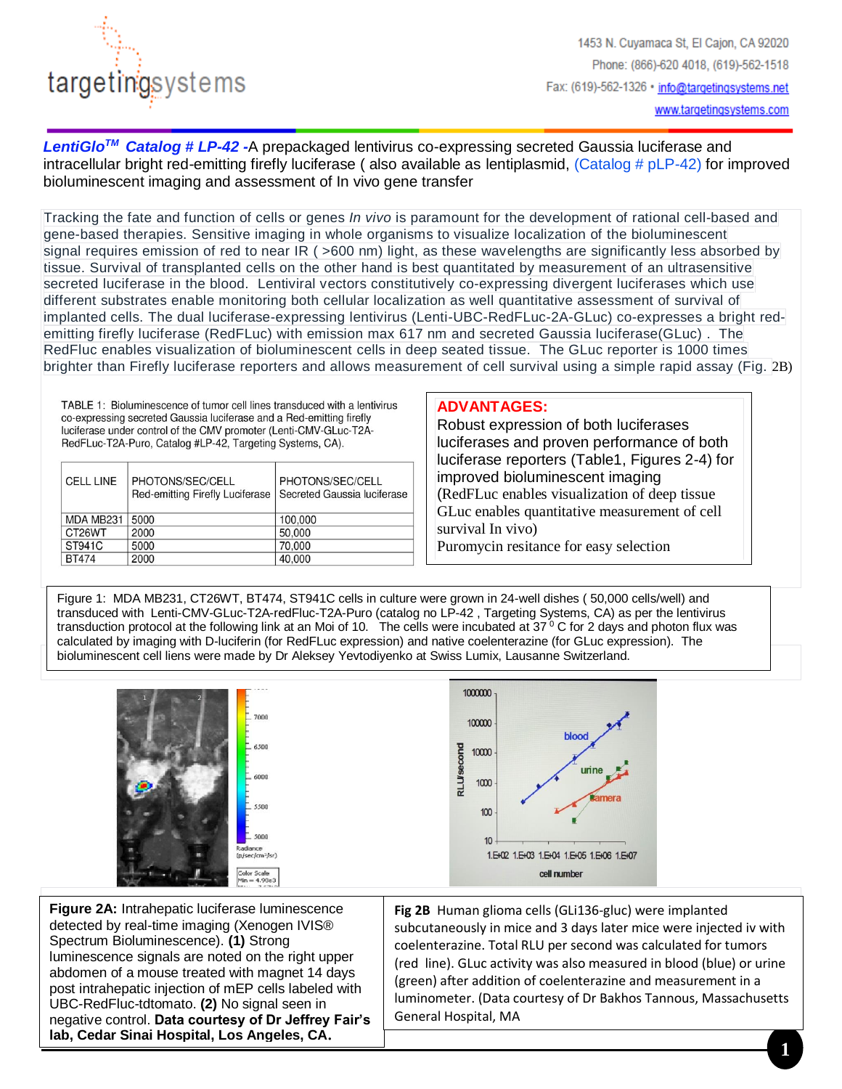

 $\overline{\phantom{a}}$ 

*LentiGloTM Catalog # LP-42 -*A prepackaged lentivirus co-expressing secreted Gaussia luciferase and intracellular bright red-emitting firefly luciferase ( also available as lentiplasmid, (Catalog # pLP-42) for improved bioluminescent imaging and assessment of In vivo gene transfer

Tracking the fate and function of cells or genes *In vivo* is paramount for the development of rational cell-based and gene-based therapies. Sensitive imaging in whole organisms to visualize localization of the bioluminescent signal requires emission of red to near IR ( >600 nm) light, as these wavelengths are significantly less absorbed by tissue. Survival of transplanted cells on the other hand is best quantitated by measurement of an ultrasensitive secreted luciferase in the blood. Lentiviral vectors constitutively co-expressing divergent luciferases which use different substrates enable monitoring both cellular localization as well quantitative assessment of survival of implanted cells. The dual luciferase-expressing lentivirus (Lenti-UBC-RedFLuc-2A-GLuc) co-expresses a bright redemitting firefly luciferase (RedFLuc) with emission max 617 nm and secreted Gaussia luciferase(GLuc) . The RedFluc enables visualization of bioluminescent cells in deep seated tissue. The GLuc reporter is 1000 times brighter than Firefly luciferase reporters and allows measurement of cell survival using a simple rapid assay (Fig. 2B)

TABLE 1: Bioluminescence of tumor cell lines transduced with a lentivirus co-expressing secreted Gaussia luciferase and a Red-emitting firefly luciferase under control of the CMV promoter (Lenti-CMV-GLuc-T2A-RedFLuc-T2A-Puro, Catalog #LP-42, Targeting Systems, CA).

| <b>CELL LINE</b> | PHOTONS/SEC/CELL<br>Red-emitting Firefly Luciferase | PHOTONS/SEC/CELL<br>Secreted Gaussia luciferase |
|------------------|-----------------------------------------------------|-------------------------------------------------|
| MDA MB231        | 5000                                                | 100,000                                         |
| CT26WT           | 2000                                                | 50,000                                          |
| ST941C           | 5000                                                | 70,000                                          |
| <b>BT474</b>     | 2000                                                | 40,000                                          |

### **ADVANTAGES:**

Robust expression of both luciferases luciferases and proven performance of both luciferase reporters (Table1, Figures 2-4) for improved bioluminescent imaging (RedFLuc enables visualization of deep tissue GLuc enables quantitative measurement of cell survival In vivo) Puromycin resitance for easy selection

Figure 1: MDA MB231, CT26WT, BT474, ST941C cells in culture were grown in 24-well dishes (50,000 cells/well) and transduced with Lenti-CMV-GLuc-T2A-redFluc-T2A-Puro (catalog no LP-42, Targeting Systems, CA) as per the lentivirus transduction protocol at the following link at an Moi of 10. The cells were incubated at  $37^{\circ}$  C for 2 days and photon flux was transduction protocol at the following link at an Mol of Tu. The cells were incubated at 37 °C for 2 days and photon flu<br>calculated by imaging with D-luciferin (for RedFLuc expression) and native coelenterazine (for GLuc e bioluminescent cell liens were made by Dr Aleksey Yevtodiyenko at Swiss Lumix, Lausanne Switzerland.



**Figure 2A:** Intrahepatic luciferase luminescence detected by real-time imaging (Xenogen IVIS® Spectrum Bioluminescence). **(1)** Strong luminescence signals are noted on the right upper abdomen of a mouse treated with magnet 14 days post intrahepatic injection of mEP cells labeled with UBC-RedFluc-tdtomato. **(2)** No signal seen in negative control. **Data courtesy of Dr Jeffrey Fair's lab, Cedar Sinai Hospital, Los Angeles, CA.**

**Fig 2B** Human glioma cells (GLi136-gluc) were implanted subcutaneously in mice and 3 days later mice were injected iv with coelenterazine. Total RLU per second was calculated for tumors (red line). GLuc activity was also measured in blood (blue) or urine (green) after addition of coelenterazine and measurement in a luminometer. (Data courtesy of Dr Bakhos Tannous, Massachusetts General Hospital, MA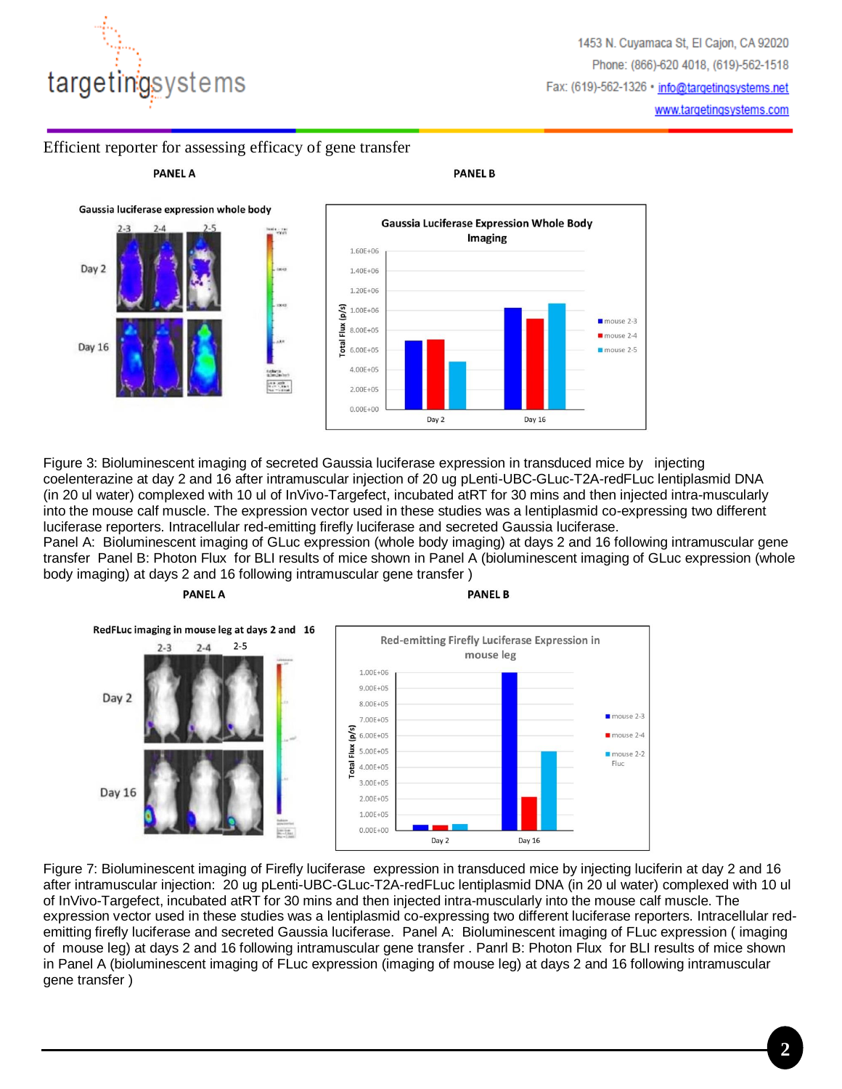

**PANEL A** 

## Efficient reporter for assessing efficacy of gene transfer



**PANEL B** 



Figure 3: Bioluminescent imaging of secreted Gaussia luciferase expression in transduced mice by injecting coelenterazine at day 2 and 16 after intramuscular injection of 20 ug pLenti-UBC-GLuc-T2A-redFLuc lentiplasmid DNA (in 20 ul water) complexed with 10 ul of InVivo-Targefect, incubated atRT for 30 mins and then injected intra-muscularly into the mouse calf muscle. The expression vector used in these studies was a lentiplasmid co-expressing two different luciferase reporters. Intracellular red-emitting firefly luciferase and secreted Gaussia luciferase.

Panel A: Bioluminescent imaging of GLuc expression (whole body imaging) at days 2 and 16 following intramuscular gene transfer Panel B: Photon Flux for BLI results of mice shown in Panel A (bioluminescent imaging of GLuc expression (whole body imaging) at days 2 and 16 following intramuscular gene transfer )

#### **PANEL A**

**PANEL B** 



Figure 7: Bioluminescent imaging of Firefly luciferase expression in transduced mice by injecting luciferin at day 2 and 16 after intramuscular injection: 20 ug pLenti-UBC-GLuc-T2A-redFLuc lentiplasmid DNA (in 20 ul water) complexed with 10 ul of InVivo-Targefect, incubated atRT for 30 mins and then injected intra-muscularly into the mouse calf muscle. The expression vector used in these studies was a lentiplasmid co-expressing two different luciferase reporters. Intracellular redemitting firefly luciferase and secreted Gaussia luciferase. Panel A: Bioluminescent imaging of FLuc expression ( imaging of mouse leg) at days 2 and 16 following intramuscular gene transfer . Panrl B: Photon Flux for BLI results of mice shown in Panel A (bioluminescent imaging of FLuc expression (imaging of mouse leg) at days 2 and 16 following intramuscular gene transfer )